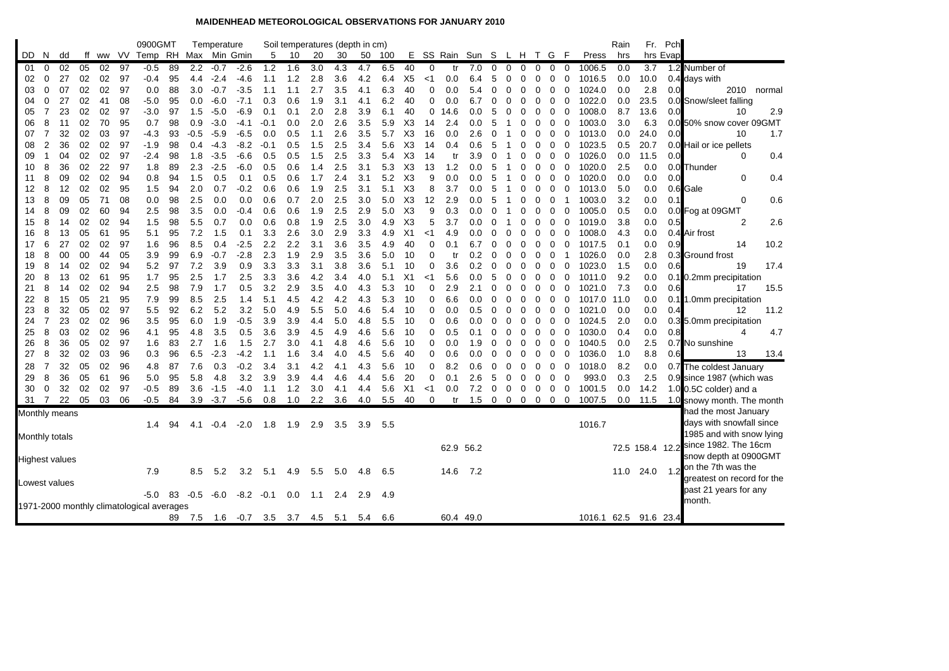## **MAIDENHEAD METEOROLOGICAL OBSERVATIONS FOR JANUARY 2010**

| ff ww VV Temp RH<br>E SS Rain Sun S L H T G<br>hrs Evap<br>Max Min Gmin<br>5<br>20<br>30<br>- F<br>DD.<br>N.<br>dd<br>10<br>50<br>100<br><b>Press</b><br>hrs<br>02<br>97<br>89<br>2.2<br>40<br>3.7<br>0<br>05<br>02<br>$-0.5$<br>$-0.7$<br>1.2<br>1.6<br>3.0<br>6.5<br>0<br>7.0<br>0<br>0<br>0<br>0.0<br>1.2 Number of<br>01<br>$-2.6$<br>4.3<br>4.7<br>0<br>0<br>0<br>1006.5<br>tr<br>0<br>27<br>02<br>02<br>97<br>-0.4<br>95<br>$-2.4$<br>$-4.6$<br>1.2<br>2.8<br>3.6<br>4.2<br>6.4<br>X5<br>0.0<br>1016.5<br>10.0<br>0.4 days with<br>02<br>4.4<br>1.1<br>ا><br>6.4<br>5<br>0<br>0<br>0<br>0.0<br>0<br>0<br>2.8<br>07<br>02<br>02<br>97<br>88<br>3.0<br>$-3.5$<br>2.7<br>3.5<br>6.3<br>40<br>0<br>0.0<br>0<br>1024.0<br>0.0<br>2010<br>03<br>0<br>0.0<br>$-0.7$<br>1.1<br>1.1<br>5.4<br>0<br>0<br>0<br>0<br>0.0<br>4.1<br>0<br>normal<br>$-7.1$<br>27<br>08<br>$-5.0$<br>95<br>$-6.0$<br>0.3<br>1.9<br>3.1<br>6.2<br>40<br>0<br>0<br>1022.0<br>23.5<br>0<br>02<br>41<br>0.0<br>0.6<br>4.1<br>0.0<br>6.7<br>0<br>$\Omega$<br>0<br>0.0<br>0.0 Snow/sleet falling<br>04<br>0<br>0<br>02<br>02<br>97<br>97<br>1.5<br>$-6.9$<br>2.0<br>2.8<br>3.9<br>6.1<br>40<br>0<br>1008.0<br>8.7<br>13.6<br>0.0<br>7<br>23<br>-3.0<br>$-5.0$<br>0.1<br>0.1<br>0.0<br>5<br>0<br>0<br>10<br>2.9<br>05<br>14.6<br>0<br>0<br>0<br>50% snow cover 09GMT<br>95<br>2.0<br>6.3<br>06<br>8<br>11<br>02<br>70<br>0.7<br>98<br>0.9<br>$-3.0$<br>-4.1<br>$-0.1$<br>0.0<br>2.6<br>3.5<br>5.9<br>X3<br>2.4<br>0<br>0<br>1003.0<br>3.0<br>0.0<br>14<br>0.0<br>5<br>0<br>32<br>$\overline{7}$<br>02<br>03<br>97<br>$-4.3$<br>$-0.5$<br>$-6.5$<br>0.0<br>0.5<br>2.6<br>3.5<br>5.7<br>X3<br>0.0<br>1013.0<br>24.0<br>0. <sub>C</sub><br>1.7<br>07<br>93<br>$-5.9$<br>16<br>2.6<br>0<br>0<br>0<br>0.0<br>10<br>1.1<br>0<br>O<br>$\overline{2}$<br>36<br>02<br>02<br>97<br>$-1.9$<br>98<br>$-4.3$<br>$-8.2$<br>1.5<br>2.5<br>3.4<br>5.6<br>X <sub>3</sub><br>1023.5<br>20.7<br>08<br>0.4<br>$-0.1$<br>0.5<br>0.4<br>0.6<br>0<br>0<br>0<br>0.5<br>14<br>5<br>0.0 Hail or ice pellets<br>0<br>02<br>09<br>02<br>97<br>-2.4<br>98<br>1.8<br>$-3.5$<br>$-6.6$<br>0.5<br>0.5<br>1.5<br>2.5<br>3.3<br>5.4<br>X3<br>3.9<br>0<br>1026.0<br>11.5<br>0. <sub>C</sub><br>0<br>0.4<br>04<br>0<br>0.0<br>1<br>14<br>tr<br>0<br>0<br>02<br>22<br>5.3<br>8<br>36<br>97<br>1.8<br>89<br>2.3<br>$-2.5$<br>$-6.0$<br>0.5<br>0.6<br>2.5<br>3.1<br>X3<br>13<br>1.2<br>0.0<br>0<br>0<br>1020.0<br>2.5<br>0.0<br>0.0 Thunder<br>10<br>1.4<br>5<br>0<br>0<br>02<br>0.8<br>1.5<br>1.7<br>3.1<br>5.2<br>X <sub>3</sub><br>9<br>0.0<br>8<br>09<br>02<br>94<br>94<br>0.5<br>0.1<br>0.5<br>0.6<br>2.4<br>0.0<br>0<br>0<br>1020.0<br>0.0<br>0. <sub>C</sub><br>0<br>0.4<br>0.0<br>5<br>0<br>11<br>0<br>02<br>8<br>12<br>02<br>95<br>1.5<br>94<br>2.0<br>0.7<br>$-0.2$<br>0.6<br>0.6<br>2.5<br>3.1<br>5.1<br>X <sub>3</sub><br>8<br>3.7<br>0.0<br>0.6 Gale<br>12<br>1.9<br>0.0<br>0<br>0<br>1013.0<br>5.0<br>5<br>0<br>0<br>13<br>8<br>09<br>05<br>71<br>08<br>0.0<br>98<br>2.5<br>0.0<br>0.0<br>0.6<br>0.7<br>2.0<br>2.5<br>3.0<br>5.0<br>X <sub>3</sub><br>12<br>2.9<br>3.2<br>0.0<br>0<br>0.6<br>0.0<br>5<br>0<br>1003.0<br>0.1<br>0<br>1<br>09<br>02<br>60<br>2.5<br>98<br>3.5<br>2.5<br>2.9<br>5.0<br>X <sub>3</sub><br>9<br>8<br>94<br>0.0<br>$-0.4$<br>0.6<br>0.6<br>1.9<br>0.3<br>0.0<br>0<br>0<br>1005.0<br>0.5<br>0.0<br>0.0 Fog at 09GMT<br>0<br>0<br>14 |
|-----------------------------------------------------------------------------------------------------------------------------------------------------------------------------------------------------------------------------------------------------------------------------------------------------------------------------------------------------------------------------------------------------------------------------------------------------------------------------------------------------------------------------------------------------------------------------------------------------------------------------------------------------------------------------------------------------------------------------------------------------------------------------------------------------------------------------------------------------------------------------------------------------------------------------------------------------------------------------------------------------------------------------------------------------------------------------------------------------------------------------------------------------------------------------------------------------------------------------------------------------------------------------------------------------------------------------------------------------------------------------------------------------------------------------------------------------------------------------------------------------------------------------------------------------------------------------------------------------------------------------------------------------------------------------------------------------------------------------------------------------------------------------------------------------------------------------------------------------------------------------------------------------------------------------------------------------------------------------------------------------------------------------------------------------------------------------------------------------------------------------------------------------------------------------------------------------------------------------------------------------------------------------------------------------------------------------------------------------------------------------------------------------------------------------------------------------------------------------------------------------------------------------------------------------------------------------------------------------------------------------------------------------------------------------------------------------------------------------------------------------------------------------------------------------------------------------------------------------------------------------------------------------------------------------------------------------------------------------------------------------------------------------------------------------------------------------------------------------------------------------------------------------------------------------------------------------------------------------------------------------------------------------------------------------------------------------------------------------------------------------------------------------|
|                                                                                                                                                                                                                                                                                                                                                                                                                                                                                                                                                                                                                                                                                                                                                                                                                                                                                                                                                                                                                                                                                                                                                                                                                                                                                                                                                                                                                                                                                                                                                                                                                                                                                                                                                                                                                                                                                                                                                                                                                                                                                                                                                                                                                                                                                                                                                                                                                                                                                                                                                                                                                                                                                                                                                                                                                                                                                                                                                                                                                                                                                                                                                                                                                                                                                                                                                                                                     |
|                                                                                                                                                                                                                                                                                                                                                                                                                                                                                                                                                                                                                                                                                                                                                                                                                                                                                                                                                                                                                                                                                                                                                                                                                                                                                                                                                                                                                                                                                                                                                                                                                                                                                                                                                                                                                                                                                                                                                                                                                                                                                                                                                                                                                                                                                                                                                                                                                                                                                                                                                                                                                                                                                                                                                                                                                                                                                                                                                                                                                                                                                                                                                                                                                                                                                                                                                                                                     |
|                                                                                                                                                                                                                                                                                                                                                                                                                                                                                                                                                                                                                                                                                                                                                                                                                                                                                                                                                                                                                                                                                                                                                                                                                                                                                                                                                                                                                                                                                                                                                                                                                                                                                                                                                                                                                                                                                                                                                                                                                                                                                                                                                                                                                                                                                                                                                                                                                                                                                                                                                                                                                                                                                                                                                                                                                                                                                                                                                                                                                                                                                                                                                                                                                                                                                                                                                                                                     |
|                                                                                                                                                                                                                                                                                                                                                                                                                                                                                                                                                                                                                                                                                                                                                                                                                                                                                                                                                                                                                                                                                                                                                                                                                                                                                                                                                                                                                                                                                                                                                                                                                                                                                                                                                                                                                                                                                                                                                                                                                                                                                                                                                                                                                                                                                                                                                                                                                                                                                                                                                                                                                                                                                                                                                                                                                                                                                                                                                                                                                                                                                                                                                                                                                                                                                                                                                                                                     |
|                                                                                                                                                                                                                                                                                                                                                                                                                                                                                                                                                                                                                                                                                                                                                                                                                                                                                                                                                                                                                                                                                                                                                                                                                                                                                                                                                                                                                                                                                                                                                                                                                                                                                                                                                                                                                                                                                                                                                                                                                                                                                                                                                                                                                                                                                                                                                                                                                                                                                                                                                                                                                                                                                                                                                                                                                                                                                                                                                                                                                                                                                                                                                                                                                                                                                                                                                                                                     |
|                                                                                                                                                                                                                                                                                                                                                                                                                                                                                                                                                                                                                                                                                                                                                                                                                                                                                                                                                                                                                                                                                                                                                                                                                                                                                                                                                                                                                                                                                                                                                                                                                                                                                                                                                                                                                                                                                                                                                                                                                                                                                                                                                                                                                                                                                                                                                                                                                                                                                                                                                                                                                                                                                                                                                                                                                                                                                                                                                                                                                                                                                                                                                                                                                                                                                                                                                                                                     |
|                                                                                                                                                                                                                                                                                                                                                                                                                                                                                                                                                                                                                                                                                                                                                                                                                                                                                                                                                                                                                                                                                                                                                                                                                                                                                                                                                                                                                                                                                                                                                                                                                                                                                                                                                                                                                                                                                                                                                                                                                                                                                                                                                                                                                                                                                                                                                                                                                                                                                                                                                                                                                                                                                                                                                                                                                                                                                                                                                                                                                                                                                                                                                                                                                                                                                                                                                                                                     |
|                                                                                                                                                                                                                                                                                                                                                                                                                                                                                                                                                                                                                                                                                                                                                                                                                                                                                                                                                                                                                                                                                                                                                                                                                                                                                                                                                                                                                                                                                                                                                                                                                                                                                                                                                                                                                                                                                                                                                                                                                                                                                                                                                                                                                                                                                                                                                                                                                                                                                                                                                                                                                                                                                                                                                                                                                                                                                                                                                                                                                                                                                                                                                                                                                                                                                                                                                                                                     |
|                                                                                                                                                                                                                                                                                                                                                                                                                                                                                                                                                                                                                                                                                                                                                                                                                                                                                                                                                                                                                                                                                                                                                                                                                                                                                                                                                                                                                                                                                                                                                                                                                                                                                                                                                                                                                                                                                                                                                                                                                                                                                                                                                                                                                                                                                                                                                                                                                                                                                                                                                                                                                                                                                                                                                                                                                                                                                                                                                                                                                                                                                                                                                                                                                                                                                                                                                                                                     |
|                                                                                                                                                                                                                                                                                                                                                                                                                                                                                                                                                                                                                                                                                                                                                                                                                                                                                                                                                                                                                                                                                                                                                                                                                                                                                                                                                                                                                                                                                                                                                                                                                                                                                                                                                                                                                                                                                                                                                                                                                                                                                                                                                                                                                                                                                                                                                                                                                                                                                                                                                                                                                                                                                                                                                                                                                                                                                                                                                                                                                                                                                                                                                                                                                                                                                                                                                                                                     |
|                                                                                                                                                                                                                                                                                                                                                                                                                                                                                                                                                                                                                                                                                                                                                                                                                                                                                                                                                                                                                                                                                                                                                                                                                                                                                                                                                                                                                                                                                                                                                                                                                                                                                                                                                                                                                                                                                                                                                                                                                                                                                                                                                                                                                                                                                                                                                                                                                                                                                                                                                                                                                                                                                                                                                                                                                                                                                                                                                                                                                                                                                                                                                                                                                                                                                                                                                                                                     |
|                                                                                                                                                                                                                                                                                                                                                                                                                                                                                                                                                                                                                                                                                                                                                                                                                                                                                                                                                                                                                                                                                                                                                                                                                                                                                                                                                                                                                                                                                                                                                                                                                                                                                                                                                                                                                                                                                                                                                                                                                                                                                                                                                                                                                                                                                                                                                                                                                                                                                                                                                                                                                                                                                                                                                                                                                                                                                                                                                                                                                                                                                                                                                                                                                                                                                                                                                                                                     |
|                                                                                                                                                                                                                                                                                                                                                                                                                                                                                                                                                                                                                                                                                                                                                                                                                                                                                                                                                                                                                                                                                                                                                                                                                                                                                                                                                                                                                                                                                                                                                                                                                                                                                                                                                                                                                                                                                                                                                                                                                                                                                                                                                                                                                                                                                                                                                                                                                                                                                                                                                                                                                                                                                                                                                                                                                                                                                                                                                                                                                                                                                                                                                                                                                                                                                                                                                                                                     |
|                                                                                                                                                                                                                                                                                                                                                                                                                                                                                                                                                                                                                                                                                                                                                                                                                                                                                                                                                                                                                                                                                                                                                                                                                                                                                                                                                                                                                                                                                                                                                                                                                                                                                                                                                                                                                                                                                                                                                                                                                                                                                                                                                                                                                                                                                                                                                                                                                                                                                                                                                                                                                                                                                                                                                                                                                                                                                                                                                                                                                                                                                                                                                                                                                                                                                                                                                                                                     |
|                                                                                                                                                                                                                                                                                                                                                                                                                                                                                                                                                                                                                                                                                                                                                                                                                                                                                                                                                                                                                                                                                                                                                                                                                                                                                                                                                                                                                                                                                                                                                                                                                                                                                                                                                                                                                                                                                                                                                                                                                                                                                                                                                                                                                                                                                                                                                                                                                                                                                                                                                                                                                                                                                                                                                                                                                                                                                                                                                                                                                                                                                                                                                                                                                                                                                                                                                                                                     |
| 02<br>02<br>98<br>5.5<br>1.9<br>2.5<br>3.0<br>4.9<br>X3<br>5<br>3.7<br>0.0<br>$\overline{2}$<br>2.6<br>8<br>14<br>94<br>1.5<br>0.7<br>0.0<br>0.6<br>0.8<br>0.0<br>0<br>0<br>1019.0<br>3.8<br>0.5<br>15<br>0<br>0<br>0                                                                                                                                                                                                                                                                                                                                                                                                                                                                                                                                                                                                                                                                                                                                                                                                                                                                                                                                                                                                                                                                                                                                                                                                                                                                                                                                                                                                                                                                                                                                                                                                                                                                                                                                                                                                                                                                                                                                                                                                                                                                                                                                                                                                                                                                                                                                                                                                                                                                                                                                                                                                                                                                                                                                                                                                                                                                                                                                                                                                                                                                                                                                                                               |
| 16<br>8<br>05<br>61<br>95<br>5.1<br>95<br>7.2<br>1.5<br>3.3<br>2.6<br>3.0<br>2.9<br>3.3<br>4.9<br>0.0<br>13<br>0.1<br>X1<br>$\Omega$<br>0<br>0<br>1008.0<br>4.3<br>0.4 Air frost<br><1<br>4.9<br>0.0<br>0<br>0<br>0                                                                                                                                                                                                                                                                                                                                                                                                                                                                                                                                                                                                                                                                                                                                                                                                                                                                                                                                                                                                                                                                                                                                                                                                                                                                                                                                                                                                                                                                                                                                                                                                                                                                                                                                                                                                                                                                                                                                                                                                                                                                                                                                                                                                                                                                                                                                                                                                                                                                                                                                                                                                                                                                                                                                                                                                                                                                                                                                                                                                                                                                                                                                                                                 |
| 2.2<br>10.2<br>27<br>02<br>02<br>1.6<br>96<br>8.5<br>$-2.5$<br>2.2<br>3.1<br>3.6<br>3.5<br>40<br>0.0<br>6<br>97<br>0.4<br>4.9<br>0<br>0.1<br>6.7<br>0<br>0<br>0<br>0<br>1017.5<br>0.9<br>14<br>17<br>0<br>0.1<br>0                                                                                                                                                                                                                                                                                                                                                                                                                                                                                                                                                                                                                                                                                                                                                                                                                                                                                                                                                                                                                                                                                                                                                                                                                                                                                                                                                                                                                                                                                                                                                                                                                                                                                                                                                                                                                                                                                                                                                                                                                                                                                                                                                                                                                                                                                                                                                                                                                                                                                                                                                                                                                                                                                                                                                                                                                                                                                                                                                                                                                                                                                                                                                                                  |
| 3.9<br>99<br>$-2.8$<br>2.3<br>1.9<br>2.9<br>3.5<br>3.6<br>5.0<br>2.8<br>18<br>8<br>00<br>00<br>44<br>05<br>6.9<br>$-0.7$<br>10<br>0<br>0.2<br>0<br>1026.0<br>0.0<br>0.3 Ground frost<br>0<br>0<br>0<br>0<br>tr<br>-1                                                                                                                                                                                                                                                                                                                                                                                                                                                                                                                                                                                                                                                                                                                                                                                                                                                                                                                                                                                                                                                                                                                                                                                                                                                                                                                                                                                                                                                                                                                                                                                                                                                                                                                                                                                                                                                                                                                                                                                                                                                                                                                                                                                                                                                                                                                                                                                                                                                                                                                                                                                                                                                                                                                                                                                                                                                                                                                                                                                                                                                                                                                                                                                |
| 02<br>02<br>94<br>5.2<br>97<br>7.2<br>3.9<br>3.3<br>3.3<br>3.1<br>3.8<br>3.6<br>5.1<br>10<br>0<br>3.6<br>0.2<br>1023.0<br>0.0<br>0.6<br>17.4<br>19<br>8<br>0.9<br>0<br>0<br>1.5<br>19<br>14<br>0<br>0<br>0<br>$\mathbf{0}$                                                                                                                                                                                                                                                                                                                                                                                                                                                                                                                                                                                                                                                                                                                                                                                                                                                                                                                                                                                                                                                                                                                                                                                                                                                                                                                                                                                                                                                                                                                                                                                                                                                                                                                                                                                                                                                                                                                                                                                                                                                                                                                                                                                                                                                                                                                                                                                                                                                                                                                                                                                                                                                                                                                                                                                                                                                                                                                                                                                                                                                                                                                                                                          |
| 1.7<br>13<br>02<br>61<br>95<br>95<br>2.5<br>2.5<br>3.3<br>3.6<br>4.2<br>5.1<br>9.2<br>0.0<br>0.1 0.2mm precipitation<br>20<br>8<br>1.7<br>3.4<br>4.0<br>X1<br>5.6<br>0.0<br>5<br>0<br>0<br>0<br>1011.0<br><1<br>0<br>0                                                                                                                                                                                                                                                                                                                                                                                                                                                                                                                                                                                                                                                                                                                                                                                                                                                                                                                                                                                                                                                                                                                                                                                                                                                                                                                                                                                                                                                                                                                                                                                                                                                                                                                                                                                                                                                                                                                                                                                                                                                                                                                                                                                                                                                                                                                                                                                                                                                                                                                                                                                                                                                                                                                                                                                                                                                                                                                                                                                                                                                                                                                                                                              |
| 2.5<br>3.2<br>2.9<br>3.5<br>5.3<br>0.0<br>02<br>02<br>94<br>98<br>7.9<br>1.7<br>0.5<br>2.9<br>0<br>0<br>7.3<br>0.6<br>21<br>8<br>14<br>4.0<br>4.3<br>10<br>0<br>2.1<br>0<br>$\Omega$<br>0<br>1021.0<br>17<br>15.5<br>0                                                                                                                                                                                                                                                                                                                                                                                                                                                                                                                                                                                                                                                                                                                                                                                                                                                                                                                                                                                                                                                                                                                                                                                                                                                                                                                                                                                                                                                                                                                                                                                                                                                                                                                                                                                                                                                                                                                                                                                                                                                                                                                                                                                                                                                                                                                                                                                                                                                                                                                                                                                                                                                                                                                                                                                                                                                                                                                                                                                                                                                                                                                                                                              |
| 8.5<br>8<br>05<br>21<br>95<br>7.9<br>99<br>2.5<br>5.1<br>4.5<br>4.2<br>4.2<br>5.3<br>0.0<br>22<br>15<br>1.4<br>4.3<br>10<br>0<br>6.6<br>0.0<br>0<br>0<br>1017.0 11.0<br>.0mm precipitation<br>0<br>0<br>0<br>0<br>0.1                                                                                                                                                                                                                                                                                                                                                                                                                                                                                                                                                                                                                                                                                                                                                                                                                                                                                                                                                                                                                                                                                                                                                                                                                                                                                                                                                                                                                                                                                                                                                                                                                                                                                                                                                                                                                                                                                                                                                                                                                                                                                                                                                                                                                                                                                                                                                                                                                                                                                                                                                                                                                                                                                                                                                                                                                                                                                                                                                                                                                                                                                                                                                                               |
| 8<br>32<br>05<br>02<br>97<br>5.5<br>92<br>6.2<br>5.2<br>3.2<br>5.0<br>4.9<br>5.0<br>5.4<br>0.0<br>11.2<br>23<br>5.5<br>4.6<br>10<br>0<br>0.0<br>0.5<br>0<br>0<br>0<br>1021.0<br>0.0<br>0.4<br>12<br>0<br>0<br>0                                                                                                                                                                                                                                                                                                                                                                                                                                                                                                                                                                                                                                                                                                                                                                                                                                                                                                                                                                                                                                                                                                                                                                                                                                                                                                                                                                                                                                                                                                                                                                                                                                                                                                                                                                                                                                                                                                                                                                                                                                                                                                                                                                                                                                                                                                                                                                                                                                                                                                                                                                                                                                                                                                                                                                                                                                                                                                                                                                                                                                                                                                                                                                                     |
| $\overline{7}$<br>23<br>02<br>3.5<br>95<br>1.9<br>$-0.5$<br>3.9<br>3.9<br>5.0<br>5.5<br>2.0<br>0.0<br>24<br>02<br>96<br>6.0<br>4.4<br>4.8<br>10<br>0<br>0<br>0<br>1024.5<br>0.3<br>5.0mm precipitation<br>0.6<br>0.0<br>0<br>0<br>0<br>0                                                                                                                                                                                                                                                                                                                                                                                                                                                                                                                                                                                                                                                                                                                                                                                                                                                                                                                                                                                                                                                                                                                                                                                                                                                                                                                                                                                                                                                                                                                                                                                                                                                                                                                                                                                                                                                                                                                                                                                                                                                                                                                                                                                                                                                                                                                                                                                                                                                                                                                                                                                                                                                                                                                                                                                                                                                                                                                                                                                                                                                                                                                                                            |
| 03<br>02<br>02<br>96<br>3.6<br>0.0<br>0.8<br>8<br>95<br>4.8<br>3.5<br>0.5<br>3.9<br>4.5<br>4.9<br>5.6<br>10<br>0<br>0.5<br>0<br>0<br>1030.0<br>0.4<br>4.7<br>25<br>4.1<br>4.6<br>0.1<br>0<br>0<br>0<br>0<br>4                                                                                                                                                                                                                                                                                                                                                                                                                                                                                                                                                                                                                                                                                                                                                                                                                                                                                                                                                                                                                                                                                                                                                                                                                                                                                                                                                                                                                                                                                                                                                                                                                                                                                                                                                                                                                                                                                                                                                                                                                                                                                                                                                                                                                                                                                                                                                                                                                                                                                                                                                                                                                                                                                                                                                                                                                                                                                                                                                                                                                                                                                                                                                                                       |
| 2.5<br>8<br>36<br>05<br>02<br>1.6<br>83<br>2.7<br>1.6<br>1.5<br>2.7<br>26<br>97<br>3.0<br>4.1<br>4.8<br>5.6<br>0<br>0.0<br>0<br>0<br>1040.5<br>0.0<br>0.7 No sunshine<br>4.6<br>10<br>1.9<br>0<br>0<br>0<br>0                                                                                                                                                                                                                                                                                                                                                                                                                                                                                                                                                                                                                                                                                                                                                                                                                                                                                                                                                                                                                                                                                                                                                                                                                                                                                                                                                                                                                                                                                                                                                                                                                                                                                                                                                                                                                                                                                                                                                                                                                                                                                                                                                                                                                                                                                                                                                                                                                                                                                                                                                                                                                                                                                                                                                                                                                                                                                                                                                                                                                                                                                                                                                                                       |
| 32<br>03<br>8.8<br>27<br>8<br>02<br>96<br>0.3<br>96<br>6.5<br>$-2.3$<br>-4.2<br>1.6<br>3.4<br>4.0<br>5.6<br>40<br>0<br>0<br>0<br>1036.0<br>0.6<br>1.1<br>4.5<br>0.6<br>0.0<br>0<br>0<br>1.0<br>13<br>13.4<br>0<br>$\Omega$                                                                                                                                                                                                                                                                                                                                                                                                                                                                                                                                                                                                                                                                                                                                                                                                                                                                                                                                                                                                                                                                                                                                                                                                                                                                                                                                                                                                                                                                                                                                                                                                                                                                                                                                                                                                                                                                                                                                                                                                                                                                                                                                                                                                                                                                                                                                                                                                                                                                                                                                                                                                                                                                                                                                                                                                                                                                                                                                                                                                                                                                                                                                                                          |
| 32<br>$-0.2$<br>7<br>05<br>02<br>96<br>4.8<br>87<br>7.6<br>0.3<br>3.4<br>3.1<br>4.2<br>5.6<br>10<br>0<br>1018.0<br>8.2<br>0.0<br>0.7 The coldest January<br>28<br>4.1<br>4.3<br>0<br>8.2<br>0.6<br>0<br>0<br>0<br>0<br>0                                                                                                                                                                                                                                                                                                                                                                                                                                                                                                                                                                                                                                                                                                                                                                                                                                                                                                                                                                                                                                                                                                                                                                                                                                                                                                                                                                                                                                                                                                                                                                                                                                                                                                                                                                                                                                                                                                                                                                                                                                                                                                                                                                                                                                                                                                                                                                                                                                                                                                                                                                                                                                                                                                                                                                                                                                                                                                                                                                                                                                                                                                                                                                            |
| 3.2<br>2.5<br>8<br>36<br>05<br>61<br>96<br>5.0<br>95<br>5.8<br>4.8<br>3.9<br>3.9<br>4.4<br>4.6<br>5.6<br>20<br>0<br>0.1<br>2.6<br>5<br>0<br>0<br>$\mathbf 0$<br>993.0<br>0.3<br>0.9 since 1987 (which was<br>29<br>4.4<br>0<br>0                                                                                                                                                                                                                                                                                                                                                                                                                                                                                                                                                                                                                                                                                                                                                                                                                                                                                                                                                                                                                                                                                                                                                                                                                                                                                                                                                                                                                                                                                                                                                                                                                                                                                                                                                                                                                                                                                                                                                                                                                                                                                                                                                                                                                                                                                                                                                                                                                                                                                                                                                                                                                                                                                                                                                                                                                                                                                                                                                                                                                                                                                                                                                                    |
| 14.2<br>32<br>02<br>02<br>97<br>$-0.5$<br>89<br>3.6<br>$-1.5$<br>1.2<br>3.0<br>5.6<br>0<br>1001.5<br>0.0<br>30<br>0<br>$-4.0$<br>X <sub>1</sub><br>0.0<br>7.2<br>0<br>0<br>0<br>0<br>$1.0$ 0.5C colder) and a<br>1.1<br>4.1<br>4.4<br><1<br>0                                                                                                                                                                                                                                                                                                                                                                                                                                                                                                                                                                                                                                                                                                                                                                                                                                                                                                                                                                                                                                                                                                                                                                                                                                                                                                                                                                                                                                                                                                                                                                                                                                                                                                                                                                                                                                                                                                                                                                                                                                                                                                                                                                                                                                                                                                                                                                                                                                                                                                                                                                                                                                                                                                                                                                                                                                                                                                                                                                                                                                                                                                                                                       |
| 22<br>05<br>03<br>06<br>84<br>3.9<br>$-3.7$<br>$-5.6$<br>0.8<br>1.0<br>2.2<br>3.6<br>5.5<br>40<br>0<br>$\mathbf 0$<br>1007.5<br>11.5<br>7<br>-0.5<br>4.0<br>1.5<br>0<br>$\mathbf 0$<br>$\overline{0}$<br>$\overline{0}$<br>0<br>0.0<br>31<br>tr<br>1.0 snowy month. The month                                                                                                                                                                                                                                                                                                                                                                                                                                                                                                                                                                                                                                                                                                                                                                                                                                                                                                                                                                                                                                                                                                                                                                                                                                                                                                                                                                                                                                                                                                                                                                                                                                                                                                                                                                                                                                                                                                                                                                                                                                                                                                                                                                                                                                                                                                                                                                                                                                                                                                                                                                                                                                                                                                                                                                                                                                                                                                                                                                                                                                                                                                                       |
| had the most January<br>Monthly means                                                                                                                                                                                                                                                                                                                                                                                                                                                                                                                                                                                                                                                                                                                                                                                                                                                                                                                                                                                                                                                                                                                                                                                                                                                                                                                                                                                                                                                                                                                                                                                                                                                                                                                                                                                                                                                                                                                                                                                                                                                                                                                                                                                                                                                                                                                                                                                                                                                                                                                                                                                                                                                                                                                                                                                                                                                                                                                                                                                                                                                                                                                                                                                                                                                                                                                                                               |
| days with snowfall since<br>1016.7<br>$-2.0$<br>1.8<br>1.9<br>2.9<br>5.5<br>94<br>4.1<br>$-0.4$<br>3.5<br>3.9<br>1.4                                                                                                                                                                                                                                                                                                                                                                                                                                                                                                                                                                                                                                                                                                                                                                                                                                                                                                                                                                                                                                                                                                                                                                                                                                                                                                                                                                                                                                                                                                                                                                                                                                                                                                                                                                                                                                                                                                                                                                                                                                                                                                                                                                                                                                                                                                                                                                                                                                                                                                                                                                                                                                                                                                                                                                                                                                                                                                                                                                                                                                                                                                                                                                                                                                                                                |
| 1985 and with snow lying<br><b>Monthly totals</b>                                                                                                                                                                                                                                                                                                                                                                                                                                                                                                                                                                                                                                                                                                                                                                                                                                                                                                                                                                                                                                                                                                                                                                                                                                                                                                                                                                                                                                                                                                                                                                                                                                                                                                                                                                                                                                                                                                                                                                                                                                                                                                                                                                                                                                                                                                                                                                                                                                                                                                                                                                                                                                                                                                                                                                                                                                                                                                                                                                                                                                                                                                                                                                                                                                                                                                                                                   |
| 72.5 158.4 12.2 since 1982. The 16cm<br>62.9 56.2                                                                                                                                                                                                                                                                                                                                                                                                                                                                                                                                                                                                                                                                                                                                                                                                                                                                                                                                                                                                                                                                                                                                                                                                                                                                                                                                                                                                                                                                                                                                                                                                                                                                                                                                                                                                                                                                                                                                                                                                                                                                                                                                                                                                                                                                                                                                                                                                                                                                                                                                                                                                                                                                                                                                                                                                                                                                                                                                                                                                                                                                                                                                                                                                                                                                                                                                                   |
| snow depth at 0900GMT<br>Highest values                                                                                                                                                                                                                                                                                                                                                                                                                                                                                                                                                                                                                                                                                                                                                                                                                                                                                                                                                                                                                                                                                                                                                                                                                                                                                                                                                                                                                                                                                                                                                                                                                                                                                                                                                                                                                                                                                                                                                                                                                                                                                                                                                                                                                                                                                                                                                                                                                                                                                                                                                                                                                                                                                                                                                                                                                                                                                                                                                                                                                                                                                                                                                                                                                                                                                                                                                             |
| on the 7th was the<br>7.9<br>7.2<br>11.0<br>24.0<br>$-1.2$<br>8.5<br>5.2<br>3.2<br>5.1<br>4.9<br>5.5<br>5.0<br>4.8<br>6.5<br>14.6                                                                                                                                                                                                                                                                                                                                                                                                                                                                                                                                                                                                                                                                                                                                                                                                                                                                                                                                                                                                                                                                                                                                                                                                                                                                                                                                                                                                                                                                                                                                                                                                                                                                                                                                                                                                                                                                                                                                                                                                                                                                                                                                                                                                                                                                                                                                                                                                                                                                                                                                                                                                                                                                                                                                                                                                                                                                                                                                                                                                                                                                                                                                                                                                                                                                   |
| greatest on record for the<br>Lowest values                                                                                                                                                                                                                                                                                                                                                                                                                                                                                                                                                                                                                                                                                                                                                                                                                                                                                                                                                                                                                                                                                                                                                                                                                                                                                                                                                                                                                                                                                                                                                                                                                                                                                                                                                                                                                                                                                                                                                                                                                                                                                                                                                                                                                                                                                                                                                                                                                                                                                                                                                                                                                                                                                                                                                                                                                                                                                                                                                                                                                                                                                                                                                                                                                                                                                                                                                         |
| past 21 years for any<br>$-5.0$<br>83<br>$-0.5$<br>-6.0<br>-8.2<br>2.4<br>2.9<br>4.9<br>$-0.1$<br>0.0<br>1.1                                                                                                                                                                                                                                                                                                                                                                                                                                                                                                                                                                                                                                                                                                                                                                                                                                                                                                                                                                                                                                                                                                                                                                                                                                                                                                                                                                                                                                                                                                                                                                                                                                                                                                                                                                                                                                                                                                                                                                                                                                                                                                                                                                                                                                                                                                                                                                                                                                                                                                                                                                                                                                                                                                                                                                                                                                                                                                                                                                                                                                                                                                                                                                                                                                                                                        |
| month.<br>1971-2000 monthly climatological averages                                                                                                                                                                                                                                                                                                                                                                                                                                                                                                                                                                                                                                                                                                                                                                                                                                                                                                                                                                                                                                                                                                                                                                                                                                                                                                                                                                                                                                                                                                                                                                                                                                                                                                                                                                                                                                                                                                                                                                                                                                                                                                                                                                                                                                                                                                                                                                                                                                                                                                                                                                                                                                                                                                                                                                                                                                                                                                                                                                                                                                                                                                                                                                                                                                                                                                                                                 |
| 3.5<br>4.5<br>60.4 49.0<br>1016.1 62.5<br>91.6 23.4<br>89<br>7.5<br>1.6<br>$-0.7$<br>3.7<br>5.1<br>5.4<br>6.6                                                                                                                                                                                                                                                                                                                                                                                                                                                                                                                                                                                                                                                                                                                                                                                                                                                                                                                                                                                                                                                                                                                                                                                                                                                                                                                                                                                                                                                                                                                                                                                                                                                                                                                                                                                                                                                                                                                                                                                                                                                                                                                                                                                                                                                                                                                                                                                                                                                                                                                                                                                                                                                                                                                                                                                                                                                                                                                                                                                                                                                                                                                                                                                                                                                                                       |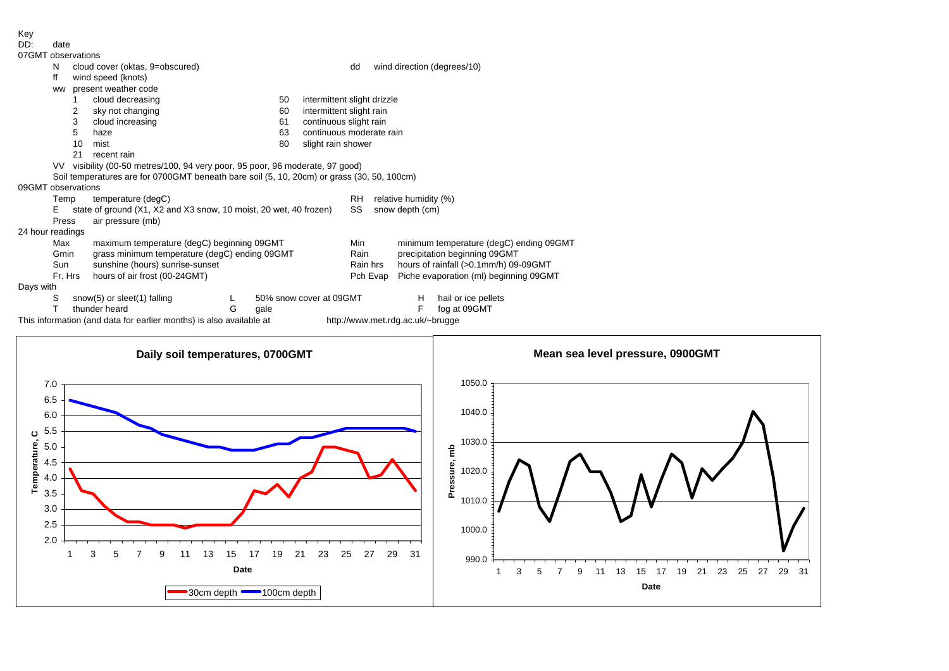Key<br>יחח

| DD:                | date                                                  |                                                                                            |                                            |  |    |                             |                                   |                                                   |                                        |                             |  |
|--------------------|-------------------------------------------------------|--------------------------------------------------------------------------------------------|--------------------------------------------|--|----|-----------------------------|-----------------------------------|---------------------------------------------------|----------------------------------------|-----------------------------|--|
| 07GMT observations |                                                       |                                                                                            |                                            |  |    |                             |                                   |                                                   |                                        |                             |  |
|                    | N                                                     | cloud cover (oktas, 9=obscured)                                                            |                                            |  |    |                             | dd                                |                                                   |                                        | wind direction (degrees/10) |  |
|                    | ff                                                    | wind speed (knots)                                                                         |                                            |  |    |                             |                                   |                                                   |                                        |                             |  |
|                    | <b>WW</b>                                             | present weather code                                                                       |                                            |  |    |                             |                                   |                                                   |                                        |                             |  |
|                    |                                                       |                                                                                            | cloud decreasing                           |  | 50 | intermittent slight drizzle |                                   |                                                   |                                        |                             |  |
|                    |                                                       | 2                                                                                          | sky not changing                           |  | 60 | intermittent slight rain    |                                   |                                                   |                                        |                             |  |
|                    |                                                       | 3                                                                                          | cloud increasing                           |  | 61 |                             | continuous slight rain            |                                                   |                                        |                             |  |
|                    |                                                       | 5<br>63<br>haze                                                                            |                                            |  |    |                             | continuous moderate rain          |                                                   |                                        |                             |  |
|                    |                                                       | 10<br>80<br>slight rain shower<br>mist                                                     |                                            |  |    |                             |                                   |                                                   |                                        |                             |  |
|                    | 21<br>recent rain                                     |                                                                                            |                                            |  |    |                             |                                   |                                                   |                                        |                             |  |
|                    |                                                       | VV visibility (00-50 metres/100, 94 very poor, 95 poor, 96 moderate, 97 good)              |                                            |  |    |                             |                                   |                                                   |                                        |                             |  |
|                    |                                                       | Soil temperatures are for 0700GMT beneath bare soil (5, 10, 20cm) or grass (30, 50, 100cm) |                                            |  |    |                             |                                   |                                                   |                                        |                             |  |
| 09GMT observations |                                                       |                                                                                            |                                            |  |    |                             |                                   |                                                   |                                        |                             |  |
|                    | Temp                                                  | temperature (degC)                                                                         |                                            |  |    |                             | RH<br>relative humidity (%)<br>SS |                                                   |                                        |                             |  |
|                    | Е                                                     | state of ground (X1, X2 and X3 snow, 10 moist, 20 wet, 40 frozen)                          |                                            |  |    |                             |                                   |                                                   | snow depth (cm)                        |                             |  |
|                    | Press                                                 |                                                                                            | air pressure (mb)                          |  |    |                             |                                   |                                                   |                                        |                             |  |
| 24 hour readings   |                                                       |                                                                                            |                                            |  |    |                             |                                   |                                                   |                                        |                             |  |
|                    | Max                                                   |                                                                                            | maximum temperature (degC) beginning 09GMT |  |    |                             | Min                               | minimum temperature (degC) ending 09GMT           |                                        |                             |  |
|                    | Gmin<br>grass minimum temperature (degC) ending 09GMT |                                                                                            |                                            |  |    |                             | Rain                              |                                                   | precipitation beginning 09GMT          |                             |  |
|                    | Sun                                                   | sunshine (hours) sunrise-sunset                                                            |                                            |  |    |                             |                                   | hours of rainfall (>0.1mm/h) 09-09GMT<br>Rain hrs |                                        |                             |  |
|                    |                                                       | Fr. Hrs<br>hours of air frost (00-24GMT)                                                   |                                            |  |    |                             |                                   | Pch Evap                                          | Piche evaporation (ml) beginning 09GMT |                             |  |
| Days with          |                                                       |                                                                                            |                                            |  |    |                             |                                   |                                                   |                                        |                             |  |
|                    | S<br>snow(5) or sleet(1) falling                      |                                                                                            |                                            |  |    | 50% snow cover at 09GMT     |                                   |                                                   | н                                      | hail or ice pellets         |  |
|                    |                                                       | G<br>thunder heard<br>qale                                                                 |                                            |  |    |                             |                                   |                                                   | F                                      | fog at 09GMT                |  |

This information (and data for earlier months) is also available at http://www.met.rdg.ac.uk/~brugge